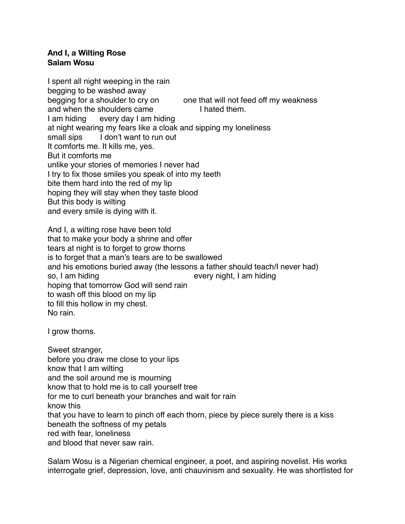## **And I, a Wilting Rose Salam Wosu**

I spent all night weeping in the rain begging to be washed away begging for a shoulder to cry on one that will not feed off my weakness and when the shoulders came I hated them. I am hiding every day I am hiding at night wearing my fears like a cloak and sipping my loneliness small sips I don't want to run out It comforts me. It kills me, yes. But it comforts me unlike your stories of memories I never had I try to fix those smiles you speak of into my teeth bite them hard into the red of my lip hoping they will stay when they taste blood But this body is wilting and every smile is dying with it.

And I, a wilting rose have been told that to make your body a shrine and offer tears at night is to forget to grow thorns is to forget that a man's tears are to be swallowed and his emotions buried away (the lessons a father should teach/I never had) so, I am hiding every night, I am hiding hoping that tomorrow God will send rain to wash off this blood on my lip to fill this hollow in my chest. No rain.

I grow thorns.

Sweet stranger, before you draw me close to your lips know that I am wilting and the soil around me is mourning know that to hold me is to call yourself tree for me to curl beneath your branches and wait for rain know this that you have to learn to pinch off each thorn, piece by piece surely there is a kiss beneath the softness of my petals red with fear, loneliness and blood that never saw rain.

Salam Wosu is a Nigerian chemical engineer, a poet, and aspiring novelist. His works interrogate grief, depression, love, anti chauvinism and sexuality. He was shortlisted for